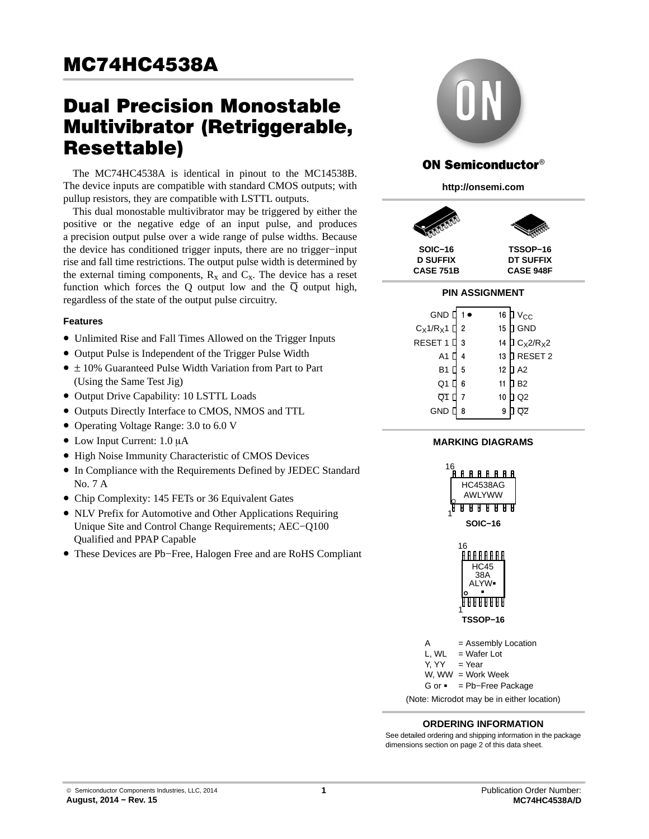# **MC74HC4538A**  $\frac{1}{\sqrt{2\pi}}$

# **Dual Precision Monostable** Multivibrator (Retriggerable, **Resettable)**

The MC74HC4538A is identical in pinout to the MC14538B. The device inputs are compatible with standard CMOS outputs; with pullup resistors, they are compatible with LSTTL outputs.

This dual monostable multivibrator may be triggered by either the positive or the negative edge of an input pulse, and produces a precision output pulse over a wide range of pulse widths. Because the device has conditioned trigger inputs, there are no trigger−input rise and fall time restrictions. The output pulse width is determined by the external timing components,  $R_x$  and  $C_x$ . The device has a reset function which forces the Q output low and the  $\overline{Q}$  output high, regardless of the state of the output pulse circuitry.

#### **Features**

- Unlimited Rise and Fall Times Allowed on the Trigger Inputs
- Output Pulse is Independent of the Trigger Pulse Width
- ± 10% Guaranteed Pulse Width Variation from Part to Part (Using the Same Test Jig)
- Output Drive Capability: 10 LSTTL Loads
- Outputs Directly Interface to CMOS, NMOS and TTL
- Operating Voltage Range: 3.0 to 6.0 V
- $\bullet$  Low Input Current: 1.0 µA
- High Noise Immunity Characteristic of CMOS Devices
- In Compliance with the Requirements Defined by JEDEC Standard No. 7 A
- Chip Complexity: 145 FETs or 36 Equivalent Gates
- NLV Prefix for Automotive and Other Applications Requiring Unique Site and Control Change Requirements; AEC−Q100 Qualified and PPAP Capable
- These Devices are Pb−Free, Halogen Free and are RoHS Compliant



# **ON Semiconductor®**

**http://onsemi.com**



**CASE 751B**

**CASE 948F**

# **PIN ASSIGNMENT**

| GND $\vert$ 1 $\bullet$ |                | 16               | $\mathsf{D}\mathsf{V}_{\mathsf{CC}}$             |
|-------------------------|----------------|------------------|--------------------------------------------------|
| $C_X 1/R_X 1$ $\Box$    | $\overline{2}$ | 15 <sub>15</sub> | GND                                              |
| RESET 1                 | 3              | 14               | $\overline{a}$ C <sub>X</sub> 2/R <sub>X</sub> 2 |
| A1                      |                | 13               | <b>D</b> RESET 2                                 |
| <b>B1</b>               | 5              | 12 <sup>°</sup>  | $\overline{a}$ A2                                |
| Q1                      | 6              | 11               | <b>B2</b>                                        |
| Q1                      | $\overline{7}$ | 10               | Q <sub>2</sub>                                   |
| GND                     | 8              |                  |                                                  |

#### **MARKING DIAGRAMS**



#### **ORDERING INFORMATION**

See detailed ordering and shipping information in the package dimensions section on page [2](#page-1-0) of this data sheet.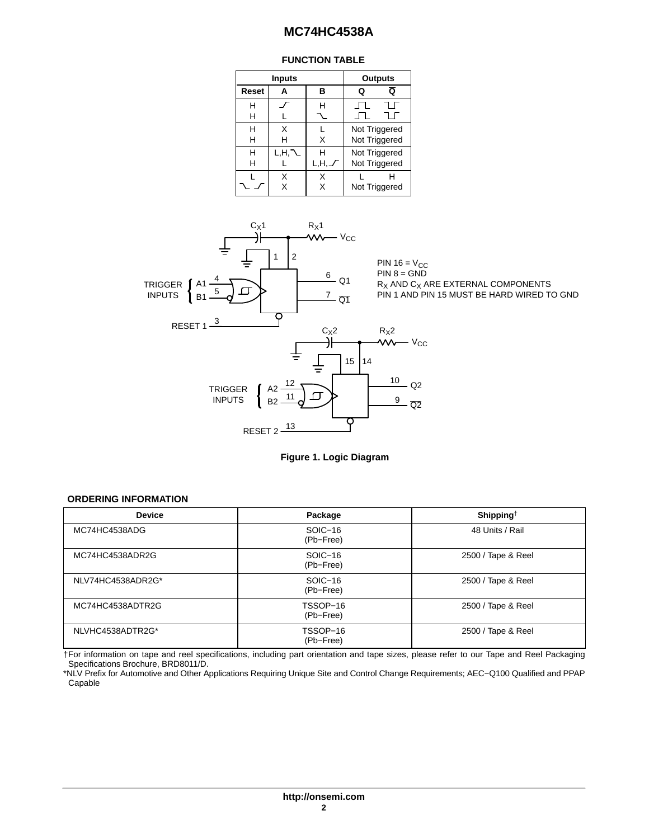#### **FUNCTION TABLE**

|        | <b>Inputs</b> |      | <b>Outputs</b>                 |
|--------|---------------|------|--------------------------------|
| Reset  | Α             | R    | Q<br>Q                         |
| н<br>н |               |      |                                |
| н<br>н | x<br>н        | х    | Not Triggered<br>Not Triggered |
| н<br>н | L,H,          | L.H. | Not Triggered<br>Not Triggered |
|        | x             |      | Not Triggered                  |

<span id="page-1-0"></span>



#### **ORDERING INFORMATION**

| <b>Device</b>     | Package               | Shipping <sup><math>\dagger</math></sup> |
|-------------------|-----------------------|------------------------------------------|
| MC74HC4538ADG     | SOIC-16<br>(Pb-Free)  | 48 Units / Rail                          |
| MC74HC4538ADR2G   | SOIC-16<br>(Pb-Free)  | 2500 / Tape & Reel                       |
| NLV74HC4538ADR2G* | SOIC-16<br>(Pb-Free)  | 2500 / Tape & Reel                       |
| MC74HC4538ADTR2G  | TSSOP-16<br>(Pb-Free) | 2500 / Tape & Reel                       |
| NLVHC4538ADTR2G*  | TSSOP-16<br>(Pb-Free) | 2500 / Tape & Reel                       |

†For information on tape and reel specifications, including part orientation and tape sizes, please refer to our Tape and Reel Packaging Specifications Brochure, BRD8011/D.

\*NLV Prefix for Automotive and Other Applications Requiring Unique Site and Control Change Requirements; AEC−Q100 Qualified and PPAP Capable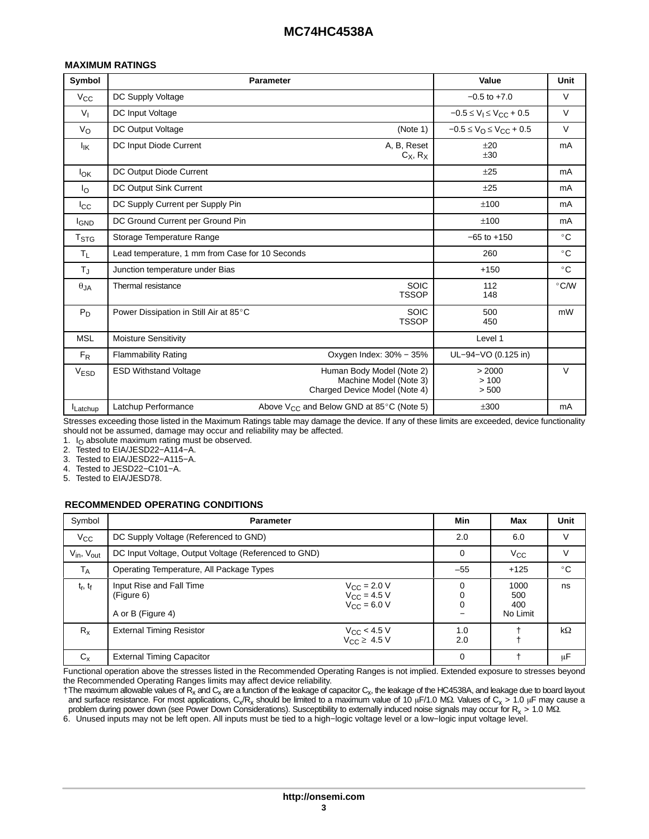#### **MAXIMUM RATINGS**

| Symbol                 |                                                 | <b>Parameter</b>                                                                     | Value                                           | Unit          |
|------------------------|-------------------------------------------------|--------------------------------------------------------------------------------------|-------------------------------------------------|---------------|
| $V_{\rm CC}$           | DC Supply Voltage                               |                                                                                      | $-0.5$ to $+7.0$                                | $\vee$        |
| $V_{I}$                | DC Input Voltage                                |                                                                                      | $-0.5 \le V_1 \le V_{CC} + 0.5$                 | $\vee$        |
| $V_{\rm O}$            | DC Output Voltage                               | (Note 1)                                                                             | $-0.5 \le V_{\text{O}} \le V_{\text{CC}} + 0.5$ | $\vee$        |
| $I_{IK}$               | DC Input Diode Current                          | A, B, Reset<br>$C_X$ , $R_X$                                                         | $+20$<br>±30                                    | mA            |
| $I_{OK}$               | DC Output Diode Current                         |                                                                                      | $+25$                                           | mA            |
| Ιo                     | DC Output Sink Current                          |                                                                                      | ±25                                             | mA            |
| $_{\rm lcc}$           | DC Supply Current per Supply Pin                |                                                                                      | ±100                                            | mA            |
| <b>I<sub>GND</sub></b> | DC Ground Current per Ground Pin                |                                                                                      | ±100                                            | mA            |
| T <sub>STG</sub>       | Storage Temperature Range                       |                                                                                      | $-65$ to $+150$                                 | $^{\circ}$ C  |
| $T_L$                  | Lead temperature, 1 mm from Case for 10 Seconds |                                                                                      | 260                                             | $^{\circ}$ C  |
| $T_{\rm J}$            | Junction temperature under Bias                 |                                                                                      | $+150$                                          | $^{\circ}$ C  |
| $\theta_{JA}$          | Thermal resistance                              | <b>SOIC</b><br><b>TSSOP</b>                                                          | 112<br>148                                      | $\degree$ C/W |
| $P_D$                  | Power Dissipation in Still Air at 85°C          | <b>SOIC</b><br><b>TSSOP</b>                                                          | 500<br>450                                      | mW            |
| <b>MSL</b>             | Moisture Sensitivity                            |                                                                                      | Level 1                                         |               |
| $F_R$                  | <b>Flammability Rating</b>                      | Oxygen Index: 30% - 35%                                                              | UL-94-VO (0.125 in)                             |               |
| <b>VESD</b>            | <b>ESD Withstand Voltage</b>                    | Human Body Model (Note 2)<br>Machine Model (Note 3)<br>Charged Device Model (Note 4) | > 2000<br>>100<br>> 500                         | $\vee$        |
| Latchup                | Latchup Performance                             | Above $V_{CC}$ and Below GND at 85 $\degree$ C (Note 5)                              | ±300                                            | mA            |

Stresses exceeding those listed in the Maximum Ratings table may damage the device. If any of these limits are exceeded, device functionality should not be assumed, damage may occur and reliability may be affected.

1.  $I<sub>O</sub>$  absolute maximum rating must be observed.

2. Tested to EIA/JESD22−A114−A.

3. Tested to EIA/JESD22−A115−A.

4. Tested to JESD22−C101−A.

5. Tested to EIA/JESD78.

#### **RECOMMENDED OPERATING CONDITIONS**

| Symbol               | <b>Parameter</b>                                            | Min                                                      | Max          | Unit                           |           |
|----------------------|-------------------------------------------------------------|----------------------------------------------------------|--------------|--------------------------------|-----------|
| $V_{\rm CC}$         | DC Supply Voltage (Referenced to GND)                       | 2.0                                                      | 6.0          | V                              |           |
| $V_{in}$ , $V_{out}$ | DC Input Voltage, Output Voltage (Referenced to GND)        | 0                                                        | $V_{\rm CC}$ | V                              |           |
| T <sub>A</sub>       | Operating Temperature, All Package Types                    | $-55$                                                    | $+125$       | $^{\circ}$ C                   |           |
| $t_r$ , $t_f$        | Input Rise and Fall Time<br>(Figure 6)<br>A or B (Figure 4) | $V_{CC}$ = 2.0 V<br>$V_{CC}$ = 4.5 V<br>$V_{CC}$ = 6.0 V | 0<br>0<br>0  | 1000<br>500<br>400<br>No Limit | ns        |
| $R_{x}$              | <b>External Timing Resistor</b>                             | $V_{CC}$ < 4.5 V<br>$V_{CC}$ $\geq$ 4.5 V                | 1.0<br>2.0   |                                | $k\Omega$ |
| $C_{x}$              | <b>External Timing Capacitor</b>                            |                                                          | $\Omega$     |                                | μF        |

Functional operation above the stresses listed in the Recommended Operating Ranges is not implied. Extended exposure to stresses beyond the Recommended Operating Ranges limits may affect device reliability.

 $\dagger$ The maximum allowable values of R<sub>x</sub> and C<sub>x</sub> are a function of the leakage of capacitor C<sub>x</sub>, the leakage of the HC4538A, and leakage due to board layout and surface resistance. For most applications,  $C_x/R_x$  should be limited to a maximum value of 10 µF/1.0 MΩ. Values of  $C_x$  > 1.0 µF may cause a problem during power down (see Power Down Considerations). Susceptibility to externally induced noise signals may occur for  $R_x > 1.0$  M.2.

6. Unused inputs may not be left open. All inputs must be tied to a high−logic voltage level or a low−logic input voltage level.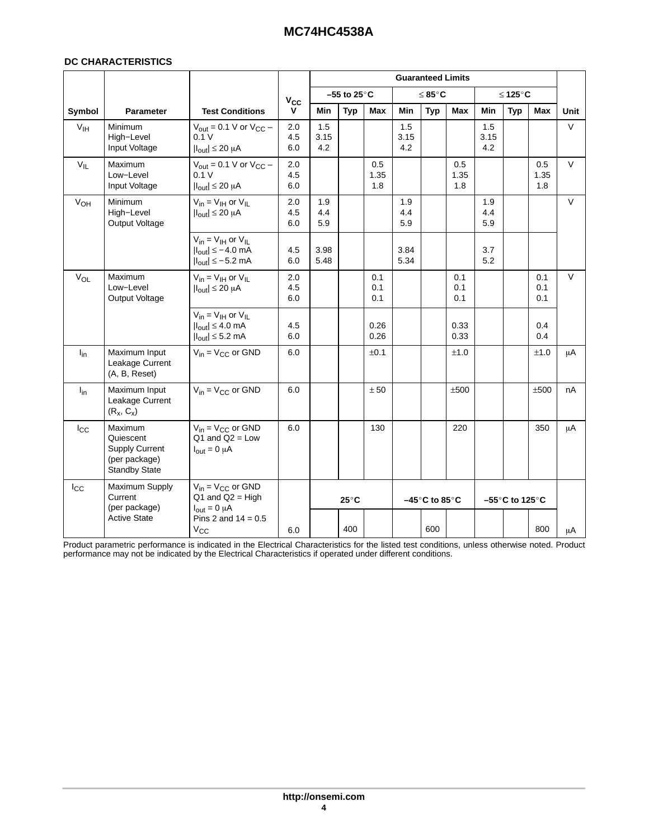#### **DC CHARACTERISTICS**

|                 |                                                                                        |                                                                                                           |                   |                    |                        |                    |                    | <b>Guaranteed Limits</b>       |                    |                    |                                     |                    |             |
|-----------------|----------------------------------------------------------------------------------------|-----------------------------------------------------------------------------------------------------------|-------------------|--------------------|------------------------|--------------------|--------------------|--------------------------------|--------------------|--------------------|-------------------------------------|--------------------|-------------|
|                 |                                                                                        |                                                                                                           | $V_{CC}$          |                    | –55 to 25 $^{\circ}$ C |                    |                    | ≤ 85°C                         |                    |                    | ≤ 125°C                             |                    |             |
| Symbol          | <b>Parameter</b>                                                                       | <b>Test Conditions</b>                                                                                    | v                 | Min                | <b>Typ</b>             | Max                | <b>Min</b>         | <b>Typ</b>                     | Max                | Min                | <b>Typ</b>                          | <b>Max</b>         | <b>Unit</b> |
| V <sub>IH</sub> | Minimum<br>High-Level<br>Input Voltage                                                 | $V_{\text{out}} = 0.1$ V or $V_{\text{CC}}$ –<br>0.1V<br>$ I_{\text{out}}  \leq 20 \mu A$                 | 2.0<br>4.5<br>6.0 | 1.5<br>3.15<br>4.2 |                        |                    | 1.5<br>3.15<br>4.2 |                                |                    | 1.5<br>3.15<br>4.2 |                                     |                    | $\vee$      |
| $V_{IL}$        | Maximum<br>Low-Level<br>Input Voltage                                                  | $V_{\text{out}} = 0.1$ V or $V_{\text{CC}}$ –<br>0.1V<br>$ I_{out}  \leq 20 \mu A$                        | 2.0<br>4.5<br>6.0 |                    |                        | 0.5<br>1.35<br>1.8 |                    |                                | 0.5<br>1.35<br>1.8 |                    |                                     | 0.5<br>1.35<br>1.8 | V           |
| V <sub>OH</sub> | <b>Minimum</b><br>High-Level<br>Output Voltage                                         | $V_{in} = V_{IH}$ or $V_{IL}$<br>$ I_{\text{out}}  \leq 20 \mu A$                                         | 2.0<br>4.5<br>6.0 | 1.9<br>4.4<br>5.9  |                        |                    | 1.9<br>4.4<br>5.9  |                                |                    | 1.9<br>4.4<br>5.9  |                                     |                    | $\vee$      |
|                 |                                                                                        | $V_{in} = V_{IH}$ or $V_{II}$<br>$ I_{\text{out}}  \le -4.0$ mA<br>$ I_{\text{out}}  \leq -5.2$ mA        | 4.5<br>6.0        | 3.98<br>5.48       |                        |                    | 3.84<br>5.34       |                                |                    | 3.7<br>5.2         |                                     |                    |             |
| $V_{OL}$        | Maximum<br>Low-Level<br>Output Voltage                                                 | $V_{in} = V_{IH}$ or $V_{IL}$<br>$ I_{\text{out}}  \leq 20 \mu A$                                         | 2.0<br>4.5<br>6.0 |                    |                        | 0.1<br>0.1<br>0.1  |                    |                                | 0.1<br>0.1<br>0.1  |                    |                                     | 0.1<br>0.1<br>0.1  | $\vee$      |
|                 |                                                                                        | $V_{in} = V_{IH}$ or $V_{IL}$<br>$ I_{\text{out}}  \leq 4.0 \text{ mA}$<br>$ I_{\text{out}}  \leq 5.2$ mA | 4.5<br>6.0        |                    |                        | 0.26<br>0.26       |                    |                                | 0.33<br>0.33       |                    |                                     | 0.4<br>0.4         |             |
| $I_{in}$        | Maximum Input<br>Leakage Current<br>(A, B, Reset)                                      | $V_{in} = V_{CC}$ or GND                                                                                  | 6.0               |                    |                        | $\pm 0.1$          |                    |                                | ±1.0               |                    |                                     | ±1.0               | μA          |
| $I_{\text{in}}$ | Maximum Input<br>Leakage Current<br>$(R_x, C_x)$                                       | $V_{in} = V_{CC}$ or GND                                                                                  | 6.0               |                    |                        | ± 50               |                    |                                | ±500               |                    |                                     | ±500               | nA          |
| $I_{\rm CC}$    | Maximum<br>Quiescent<br><b>Supply Current</b><br>(per package)<br><b>Standby State</b> | $V_{in} = V_{CC}$ or GND<br>$Q1$ and $Q2 = Low$<br>$I_{\text{out}} = 0 \mu A$                             | 6.0               |                    |                        | 130                |                    |                                | 220                |                    |                                     | 350                | μA          |
| $I_{\rm CC}$    | Maximum Supply<br>Current<br>(per package)                                             | $V_{in} = V_{CC}$ or GND<br>$Q1$ and $Q2 = High$<br>$I_{\text{out}} = 0 \mu A$                            |                   |                    | $25^{\circ}$ C         |                    |                    | $-45^\circ$ C to 85 $^\circ$ C |                    |                    | $-55^{\circ}$ C to 125 $^{\circ}$ C |                    |             |
|                 | <b>Active State</b>                                                                    | Pins 2 and $14 = 0.5$<br>$V_{\rm CC}$                                                                     | 6.0               |                    | 400                    |                    |                    | 600                            |                    |                    |                                     | 800                | μA          |

Product parametric performance is indicated in the Electrical Characteristics for the listed test conditions, unless otherwise noted. Product performance may not be indicated by the Electrical Characteristics if operated under different conditions.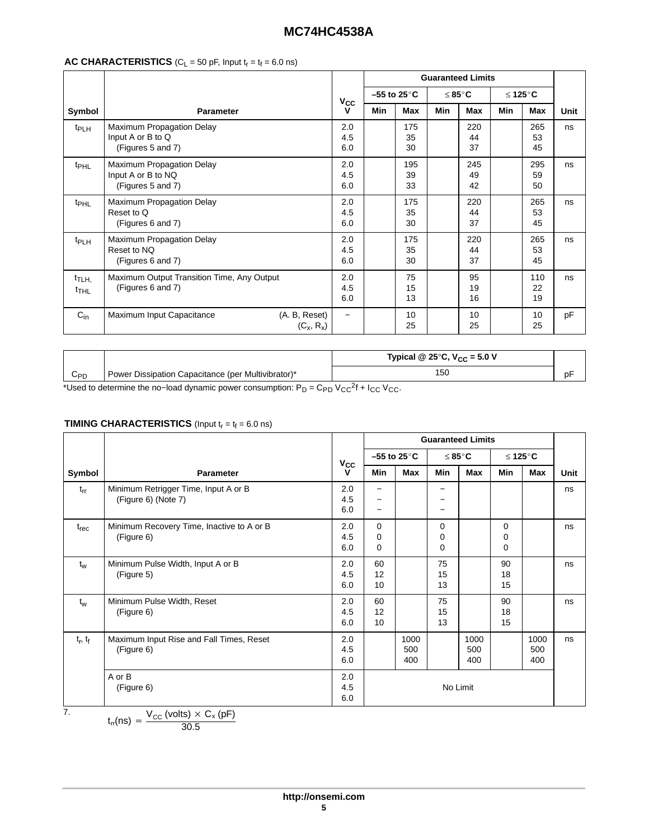### **AC CHARACTERISTICS** ( $C_L$  = 50 pF, Input  $t_r = t_f = 6.0$  ns)

|                                         |                                                                      |                          | <b>Guaranteed Limits</b> |                          |     |                 |     |                 |      |
|-----------------------------------------|----------------------------------------------------------------------|--------------------------|--------------------------|--------------------------|-----|-----------------|-----|-----------------|------|
|                                         |                                                                      |                          |                          | $-55$ to 25 $^{\circ}$ C |     | ≤ 85°C          |     | ≤ 125°C         |      |
| Symbol                                  | <b>Parameter</b>                                                     | Vcc<br>v                 | Min                      | Max                      | Min | Max             | Min | Max             | Unit |
| t <sub>PLH</sub>                        | Maximum Propagation Delay<br>Input A or B to Q<br>(Figures 5 and 7)  | 2.0<br>4.5<br>6.0        |                          | 175<br>35<br>30          |     | 220<br>44<br>37 |     | 265<br>53<br>45 | ns   |
| <sup>t</sup> PHL                        | Maximum Propagation Delay<br>Input A or B to NQ<br>(Figures 5 and 7) | 2.0<br>4.5<br>6.0        |                          | 195<br>39<br>33          |     | 245<br>49<br>42 |     | 295<br>59<br>50 | ns   |
| <sup>t</sup> PHL                        | Maximum Propagation Delay<br>Reset to Q<br>(Figures 6 and 7)         | 2.0<br>4.5<br>6.0        |                          | 175<br>35<br>30          |     | 220<br>44<br>37 |     | 265<br>53<br>45 | ns   |
| t <sub>PLH</sub>                        | Maximum Propagation Delay<br>Reset to NQ<br>(Figures 6 and 7)        | 2.0<br>4.5<br>6.0        |                          | 175<br>35<br>30          |     | 220<br>44<br>37 |     | 265<br>53<br>45 | ns   |
| t <sub>TLH,</sub><br>$t$ <sub>THL</sub> | Maximum Output Transition Time, Any Output<br>(Figures 6 and 7)      | 2.0<br>4.5<br>6.0        |                          | 75<br>15<br>13           |     | 95<br>19<br>16  |     | 110<br>22<br>19 | ns   |
| $C_{in}$                                | (A. B, Reset)<br>Maximum Input Capacitance<br>$(C_x, R_x)$           | $\overline{\phantom{0}}$ |                          | 10<br>25                 |     | 10<br>25        |     | 10<br>25        | pF   |

|          |                                                    | Typical @ 25 $\degree$ C, V <sub>CC</sub> = 5.0 V |    |
|----------|----------------------------------------------------|---------------------------------------------------|----|
| $C_{PD}$ | Power Dissipation Capacitance (per Multivibrator)* | 5C                                                | DΙ |

\*Used to determine the no–load dynamic power consumption:  $P_D = C_{PD} V_{CC}^2 + I_{CC} V_{CC}$ .

#### **TIMING CHARACTERISTICS** (Input  $t_r = t_f = 6.0$  ns)

|               |                                                             |                   | <b>Guaranteed Limits</b>         |                    |                |                    |                           |                    |      |
|---------------|-------------------------------------------------------------|-------------------|----------------------------------|--------------------|----------------|--------------------|---------------------------|--------------------|------|
|               |                                                             |                   | $-55$ to 25 $^{\circ}$ C         |                    | ≤ 85°C         |                    |                           | ≤ 125°C            |      |
| Symbol        | <b>Parameter</b>                                            | $v_{\rm cc}$<br>v | Min                              | Max                | Min            | Max                | Min                       | Max                | Unit |
| $t_{rr}$      | Minimum Retrigger Time, Input A or B<br>(Figure 6) (Note 7) | 2.0<br>4.5<br>6.0 |                                  |                    |                |                    |                           |                    | ns   |
| $t_{rec}$     | Minimum Recovery Time, Inactive to A or B<br>(Figure 6)     | 2.0<br>4.5<br>6.0 | $\Omega$<br>$\Omega$<br>$\Omega$ |                    | 0<br>0<br>0    |                    | $\Omega$<br>0<br>$\Omega$ |                    | ns   |
| $t_w$         | Minimum Pulse Width, Input A or B<br>(Figure 5)             | 2.0<br>4.5<br>6.0 | 60<br>12<br>10                   |                    | 75<br>15<br>13 |                    | 90<br>18<br>15            |                    | ns   |
| $t_w$         | Minimum Pulse Width, Reset<br>(Figure 6)                    | 2.0<br>4.5<br>6.0 | 60<br>12<br>10                   |                    | 75<br>15<br>13 |                    | 90<br>18<br>15            |                    | ns   |
| $t_r$ , $t_f$ | Maximum Input Rise and Fall Times, Reset<br>(Figure 6)      | 2.0<br>4.5<br>6.0 |                                  | 1000<br>500<br>400 |                | 1000<br>500<br>400 |                           | 1000<br>500<br>400 | ns   |
|               | A or B<br>(Figure 6)                                        | 2.0<br>4.5<br>6.0 | No Limit                         |                    |                |                    |                           |                    |      |
| 7.            | $V_{\infty}$ (volts) $\times$ C <sub>x</sub> (pF)           |                   |                                  |                    |                |                    |                           |                    |      |

$$
t_{rr}(ns) = \frac{V_{CC} (volts) \times C_x (pF)}{30.5}
$$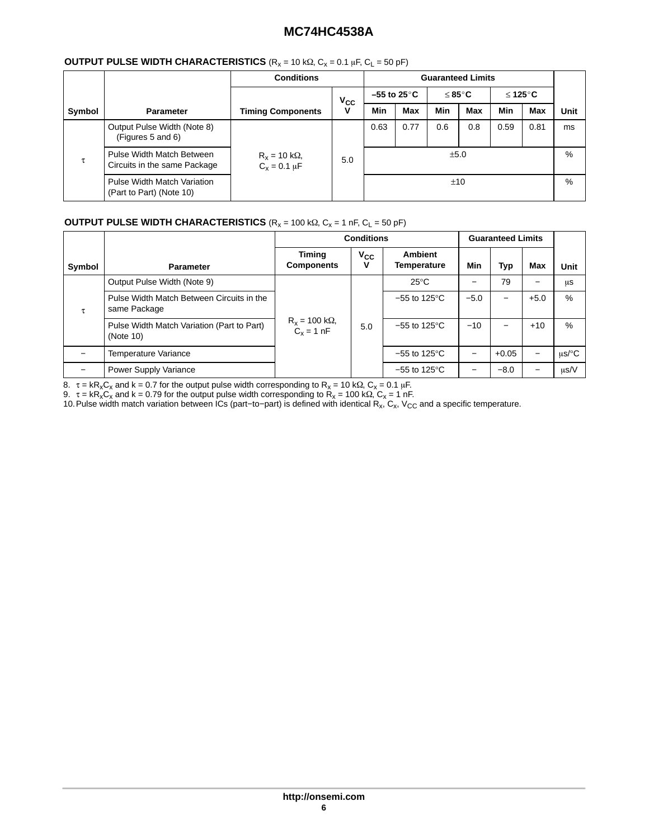#### **OUTPUT PULSE WIDTH CHARACTERISTICS** (R<sub>x</sub> = 10 kΩ, C<sub>x</sub> = 0.1 µF, C<sub>L</sub> = 50 pF)

|        |                                                                | <b>Conditions</b>                |              | <b>Guaranteed Limits</b>                         |            |      |            |      |            |      |
|--------|----------------------------------------------------------------|----------------------------------|--------------|--------------------------------------------------|------------|------|------------|------|------------|------|
|        |                                                                |                                  | $V_{\rm CC}$ | $-55$ to 25 $^{\circ}$ C<br>≤ 85 $°C$<br>≤ 125°C |            |      |            |      |            |      |
| Symbol | <b>Parameter</b>                                               | <b>Timing Components</b>         | v            | Min                                              | <b>Max</b> | Min  | <b>Max</b> | Min  | <b>Max</b> | Unit |
|        | Output Pulse Width (Note 8)<br>(Figures 5 and 6)               |                                  |              | 0.63                                             | 0.77       | 0.6  | 0.8        | 0.59 | 0.81       | ms   |
| τ      | Pulse Width Match Between<br>Circuits in the same Package      | $R_x = 10$ kΩ,<br>$C_x = 0.1$ μF | 5.0          |                                                  |            | ±5.0 |            |      |            | %    |
|        | <b>Pulse Width Match Variation</b><br>(Part to Part) (Note 10) |                                  |              |                                                  |            | ±10  |            |      |            | $\%$ |

## **OUTPUT PULSE WIDTH CHARACTERISTICS**  $(R_x = 100 \text{ k}\Omega, C_x = 1 \text{ nF}, C_L = 50 \text{ pF})$

|        |                                                           |                                              | <b>Conditions</b> | <b>Guaranteed Limits</b>          |        |         |                          |           |
|--------|-----------------------------------------------------------|----------------------------------------------|-------------------|-----------------------------------|--------|---------|--------------------------|-----------|
| Symbol | <b>Parameter</b>                                          | <b>Timing</b><br><b>Components</b>           | $V_{\rm CC}$<br>v | <b>Ambient</b><br>Temperature     | Min    | Typ     | Max                      | Unit      |
|        | Output Pulse Width (Note 9)                               |                                              |                   | $25^{\circ}$ C                    |        | 79      | $\overline{\phantom{0}}$ | μS        |
| τ      | Pulse Width Match Between Circuits in the<br>same Package |                                              |                   | $-55$ to 125 $\mathrm{^{\circ}C}$ | $-5.0$ |         | $+5.0$                   | $\%$      |
|        | Pulse Width Match Variation (Part to Part)<br>(Note 10)   | $R_x = 100 \text{ k}\Omega,$<br>$C_x = 1 nF$ | 5.0               | $-55$ to 125 $\mathrm{^{\circ}C}$ | $-10$  |         | $+10$                    | $\%$      |
|        | Temperature Variance                                      |                                              |                   | $-55$ to 125 $\mathrm{^{\circ}C}$ |        | $+0.05$ | $\qquad \qquad -$        | $us$ /°C  |
|        | Power Supply Variance                                     |                                              |                   | $-55$ to 125 $\mathrm{^{\circ}C}$ |        | $-8.0$  |                          | $\mu$ s/V |

8. τ = kR<sub>x</sub>C<sub>x</sub> and k = 0.7 for the output pulse width corresponding to R<sub>x</sub> = 10 kΩ, C<sub>x</sub> = 0.1 μF.

9.  $\tau = kR_xC_x$  and  $k = 0.79$  for the output pulse width corresponding to  $R_x = 100$  kΩ,  $C_x = 1$  nF.

10.Pulse width match variation between ICs (part–to–part) is defined with identical R<sub>x</sub>, C<sub>x</sub>, V<sub>CC</sub> and a specific temperature.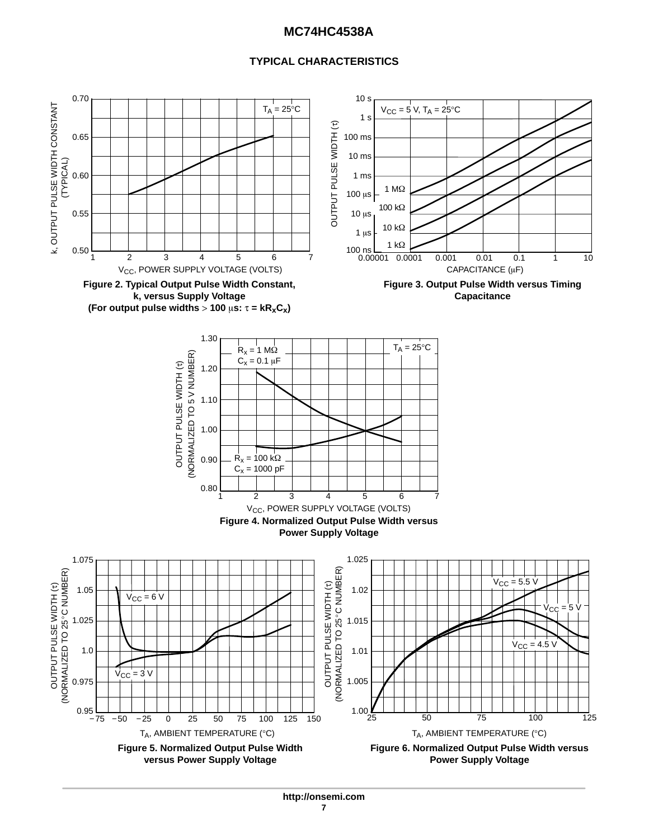### **TYPICAL CHARACTERISTICS**

<span id="page-6-0"></span>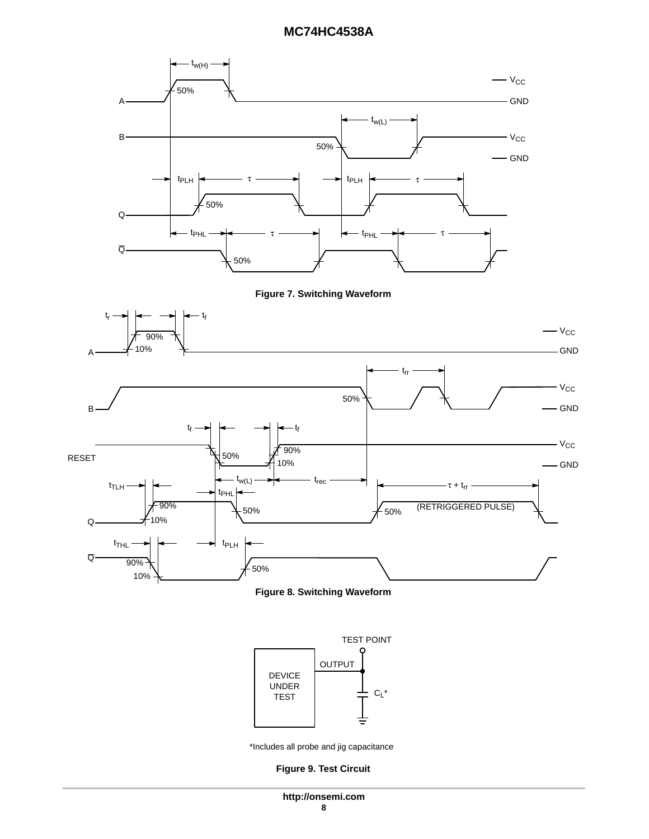<span id="page-7-0"></span>







\*Includes all probe and jig capacitance

#### **Figure 9. Test Circuit**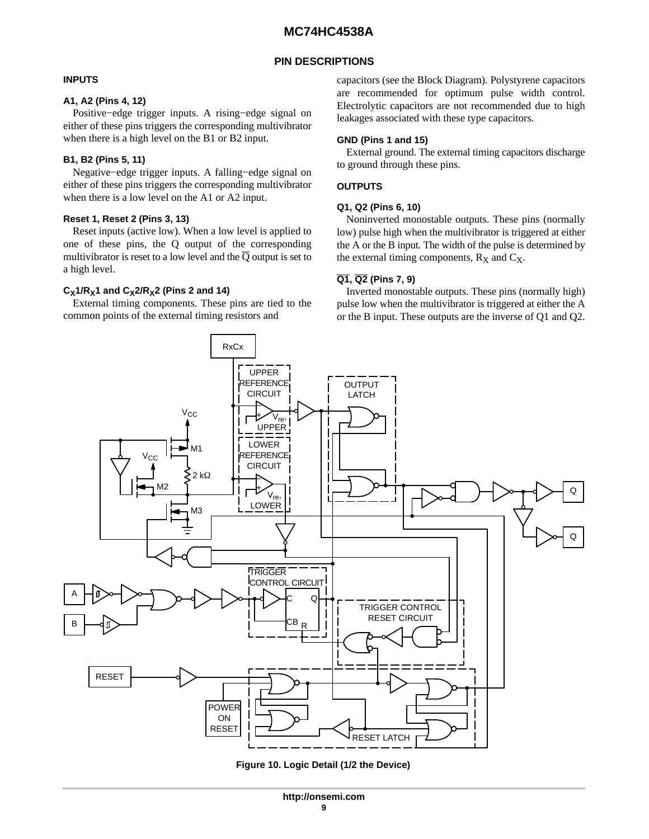### **PIN DESCRIPTIONS**

#### <span id="page-8-0"></span>**INPUTS**

#### **A1, A2 (Pins 4, 12)**

Positive−edge trigger inputs. A rising−edge signal on either of these pins triggers the corresponding multivibrator when there is a high level on the B1 or B2 input.

### **B1, B2 (Pins 5, 11)**

Negative−edge trigger inputs. A falling−edge signal on either of these pins triggers the corresponding multivibrator when there is a low level on the A1 or A2 input.

### **Reset 1, Reset 2 (Pins 3, 13)**

Reset inputs (active low). When a low level is applied to one of these pins, the Q output of the corresponding multivibrator is reset to a low level and the  $\overline{Q}$  output is set to a high level.

### $C_X$ 1/R<sub>X</sub>1 and  $C_X$ 2/R<sub>X</sub>2 (Pins 2 and 14)

External timing components. These pins are tied to the common points of the external timing resistors and

capacitors (see the Block Diagram). Polystyrene capacitors are recommended for optimum pulse width control. Electrolytic capacitors are not recommended due to high leakages associated with these type capacitors.

### **GND (Pins 1 and 15)**

External ground. The external timing capacitors discharge to ground through these pins.

### **OUTPUTS**

#### **Q1, Q2 (Pins 6, 10)**

Noninverted monostable outputs. These pins (normally low) pulse high when the multivibrator is triggered at either the A or the B input. The width of the pulse is determined by the external timing components,  $R_X$  and  $C_X$ .

#### **Q1, Q2 (Pins 7, 9)**

Inverted monostable outputs. These pins (normally high) pulse low when the multivibrator is triggered at either the A or the B input. These outputs are the inverse of Q1 and Q2.



**Figure 10. Logic Detail (1/2 the Device)**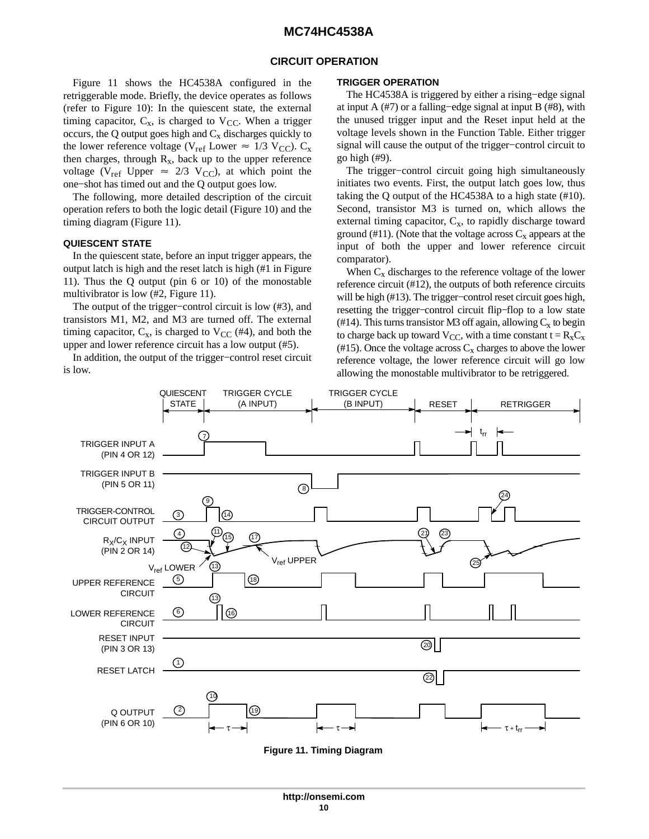#### **CIRCUIT OPERATION**

Figure 11 shows the HC4538A configured in the retriggerable mode. Briefly, the device operates as follows (refer to Figure [10\)](#page-8-0): In the quiescent state, the external timing capacitor,  $C_x$ , is charged to  $V_{CC}$ . When a trigger occurs, the Q output goes high and  $C_x$  discharges quickly to the lower reference voltage (V<sub>ref</sub> Lower  $\approx 1/3$  V<sub>CC</sub>). C<sub>x</sub> then charges, through  $R_x$ , back up to the upper reference voltage (V<sub>ref</sub> Upper  $\approx$  2/3 V<sub>CC</sub>), at which point the one−shot has timed out and the Q output goes low.

The following, more detailed description of the circuit operation refers to both the logic detail (Figure [10](#page-8-0)) and the timing diagram (Figure 11).

#### **QUIESCENT STATE**

In the quiescent state, before an input trigger appears, the output latch is high and the reset latch is high (#1 in Figure 11). Thus the Q output (pin 6 or 10) of the monostable multivibrator is low (#2, Figure 11).

The output of the trigger−control circuit is low (#3), and transistors M1, M2, and M3 are turned off. The external timing capacitor,  $C_x$ , is charged to  $V_{CC}$  (#4), and both the upper and lower reference circuit has a low output (#5).

In addition, the output of the trigger−control reset circuit is low.

#### **TRIGGER OPERATION**

The HC4538A is triggered by either a rising–edge signal at input A  $(\#7)$  or a falling–edge signal at input B  $(\#8)$ , with the unused trigger input and the Reset input held at the voltage levels shown in the Function Table. Either trigger signal will cause the output of the trigger−control circuit to go high (#9).

The trigger−control circuit going high simultaneously initiates two events. First, the output latch goes low, thus taking the Q output of the HC4538A to a high state (#10). Second, transistor M3 is turned on, which allows the external timing capacitor,  $C_x$ , to rapidly discharge toward ground (#11). (Note that the voltage across  $C_x$  appears at the input of both the upper and lower reference circuit comparator).

When  $C_x$  discharges to the reference voltage of the lower reference circuit (#12), the outputs of both reference circuits will be high (#13). The trigger−control reset circuit goes high, resetting the trigger−control circuit flip−flop to a low state (#14). This turns transistor M3 off again, allowing  $C_x$  to begin to charge back up toward  $V_{CC}$ , with a time constant  $t = R_x C_x$ (#15). Once the voltage across  $C_x$  charges to above the lower reference voltage, the lower reference circuit will go low allowing the monostable multivibrator to be retriggered.



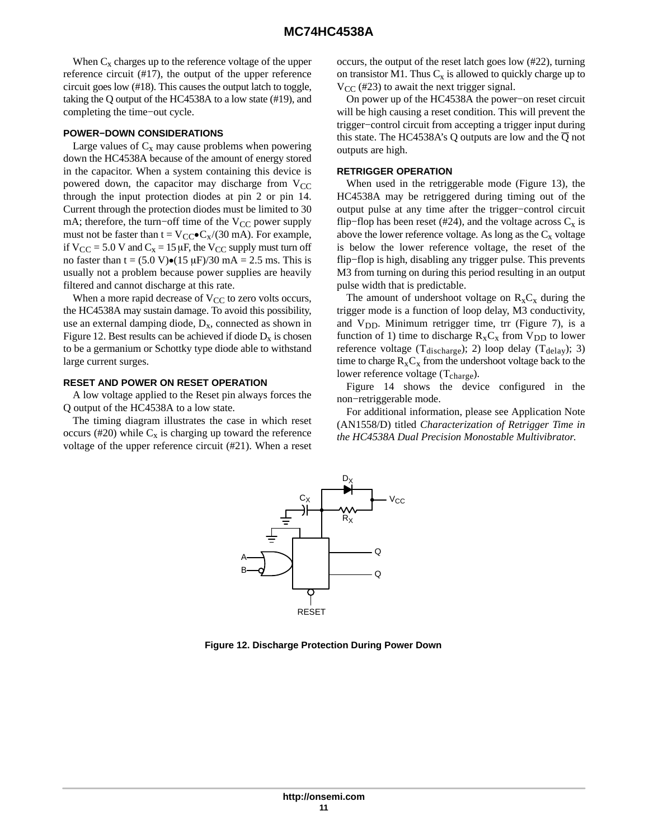When  $C_x$  charges up to the reference voltage of the upper reference circuit (#17), the output of the upper reference circuit goes low (#18). This causes the output latch to toggle, taking the Q output of the HC4538A to a low state (#19), and completing the time−out cycle.

#### **POWER−DOWN CONSIDERATIONS**

Large values of  $C_x$  may cause problems when powering down the HC4538A because of the amount of energy stored in the capacitor. When a system containing this device is powered down, the capacitor may discharge from  $V_{CC}$ through the input protection diodes at pin 2 or pin 14. Current through the protection diodes must be limited to 30 mA; therefore, the turn–off time of the  $V_{CC}$  power supply must not be faster than  $t = V_{\text{CC}} \cdot C_x/(30 \text{ mA})$ . For example, if  $V_{CC} = 5.0 V$  and  $C_x = 15 \mu F$ , the  $V_{CC}$  supply must turn off no faster than  $t = (5.0 \text{ V}) \cdot (15 \text{ µF})/30 \text{ mA} = 2.5 \text{ ms}$ . This is usually not a problem because power supplies are heavily filtered and cannot discharge at this rate.

When a more rapid decrease of  $V_{CC}$  to zero volts occurs, the HC4538A may sustain damage. To avoid this possibility, use an external damping diode,  $D_x$ , connected as shown in Figure 12. Best results can be achieved if diode  $D_x$  is chosen to be a germanium or Schottky type diode able to withstand large current surges.

#### **RESET AND POWER ON RESET OPERATION**

A low voltage applied to the Reset pin always forces the Q output of the HC4538A to a low state.

The timing diagram illustrates the case in which reset occurs (#20) while  $C_x$  is charging up toward the reference voltage of the upper reference circuit (#21). When a reset occurs, the output of the reset latch goes low (#22), turning on transistor M1. Thus  $C_x$  is allowed to quickly charge up to  $V_{CC}$  (#23) to await the next trigger signal.

On power up of the HC4538A the power−on reset circuit will be high causing a reset condition. This will prevent the trigger−control circuit from accepting a trigger input during this state. The HC4538A's Q outputs are low and the  $\overline{Q}$  not outputs are high.

#### **RETRIGGER OPERATION**

When used in the retriggerable mode (Figure [13](#page-11-0)), the HC4538A may be retriggered during timing out of the output pulse at any time after the trigger−control circuit flip–flop has been reset (#24), and the voltage across  $C_x$  is above the lower reference voltage. As long as the  $C_x$  voltage is below the lower reference voltage, the reset of the flip−flop is high, disabling any trigger pulse. This prevents M3 from turning on during this period resulting in an output pulse width that is predictable.

The amount of undershoot voltage on  $R_xC_x$  during the trigger mode is a function of loop delay, M3 conductivity, and  $V_{DD}$ . Minimum retrigger time, trr (Figure 7), is a function of 1) time to discharge  $R_xC_x$  from  $V_{DD}$  to lower reference voltage (T<sub>discharge</sub>); 2) loop delay (T<sub>delay</sub>); 3) time to charge  $R_xC_x$  from the undershoot voltage back to the lower reference voltage  $(T_{charge})$ .

Figure [14](#page-11-0) shows the device configured in the non−retriggerable mode.

For additional information, please see Application Note (AN1558/D) titled *Characterization of Retrigger Time in the HC4538A Dual Precision Monostable Multivibrator*.



**Figure 12. Discharge Protection During Power Down**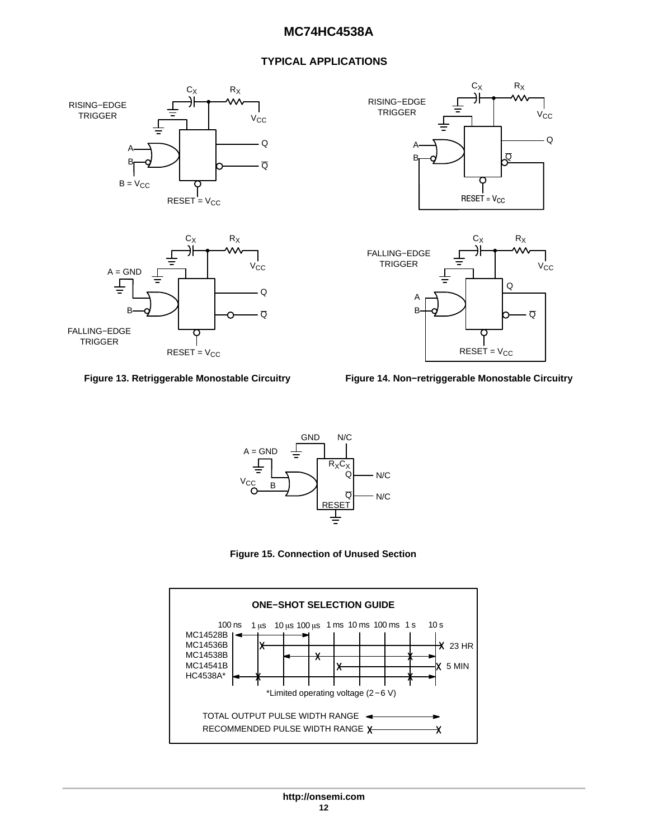### **TYPICAL APPLICATIONS**

<span id="page-11-0"></span>





 $REST = V_{CC}$ RISING−EDGE TRIGGER  $C_X$  $V_{\rm CC}$ Q  $\overline{\Omega}$ A B  $R_X$ 





**Figure 15. Connection of Unused Section**

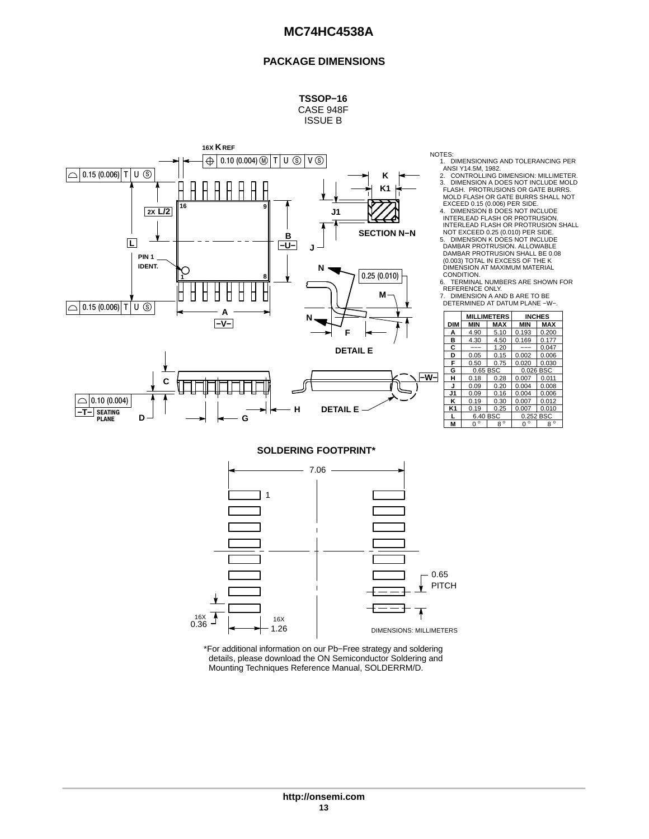#### **PACKAGE DIMENSIONS**





NOTES:

1. DIMENSIONING AND TOLERANCING PER<br>ANSI Y14.5M, 1982.<br>2. CONTROLLING DIMENSION: MILLIMETER.<br>3. DIMENSION A DOES NOT INCLUDE MOLD FLASH. PROTRUSIONS OR GATE BURRS. MOLD FLASH OR GATE BURRS SHALL NOT

EXCEED 0.15 (0.006) PER SIDE.<br>4. DIMENSION B DOES NOT INCLUDE SECTION N-N<br>
NOT EXCEED 0.25 (0.010) PER SIDE. INTERLEAD FLASH OR PROTRUSION. INTERLEAD FLASH OR PROTRUSION SHALL

5. DIMENSION K DOES NOT INCLUDE DAMBAR PROTRUSION. ALLOWABLE DAMBAR PROTRUSION SHALL BE 0.08 (0.003) TOTAL IN EXCESS OF THE K DIMENSION AT MAXIMUM MATERIAL CONDITION.

6. TERMINAL NUMBERS ARE SHOWN FOR<br>|REFERENCE ONLY.<br>7. DIMENSION A AND B ARE TO BE<br>| DETERMINED AT DATUM PLANE −W−.

|                |              | <b>MILLIMETERS</b> |             | <b>INCHES</b> |
|----------------|--------------|--------------------|-------------|---------------|
| <b>DIM</b>     | <b>MIN</b>   | <b>MAX</b>         | <b>MIN</b>  | <b>MAX</b>    |
| А              | 4.90         | 5.10               | 0.193       | 0.200         |
| в              | 4.30         | 4.50               | 0.169       | 0.177         |
| C              |              | 1.20               |             | 0.047         |
| D              | 0.05         | 0.15               | 0.002       | 0.006         |
| F              | 0.50         | 0.75               | 0.020       | 0.030         |
| G              | 0.65 BSC     |                    |             | 0.026 BSC     |
| н              | 0.18         | 0.28               | 0.007       | 0.011         |
| J              | 0.09         | 0.20               | 0.004       | 0.008         |
| J1             | 0.09         | 0.16               | 0.004       | 0.006         |
| ĸ              | 0.19         | 0.30               | 0.007       | 0.012         |
| K <sub>1</sub> | 0.19         | 0.25               | 0.007       | 0.010         |
|                | 6.40 BSC     |                    |             | 0.252 BSC     |
| M              | $\circ$<br>n | $8^{\circ}$        | $0^{\circ}$ | $8^{\circ}$   |

**SOLDERING FOOTPRINT\***